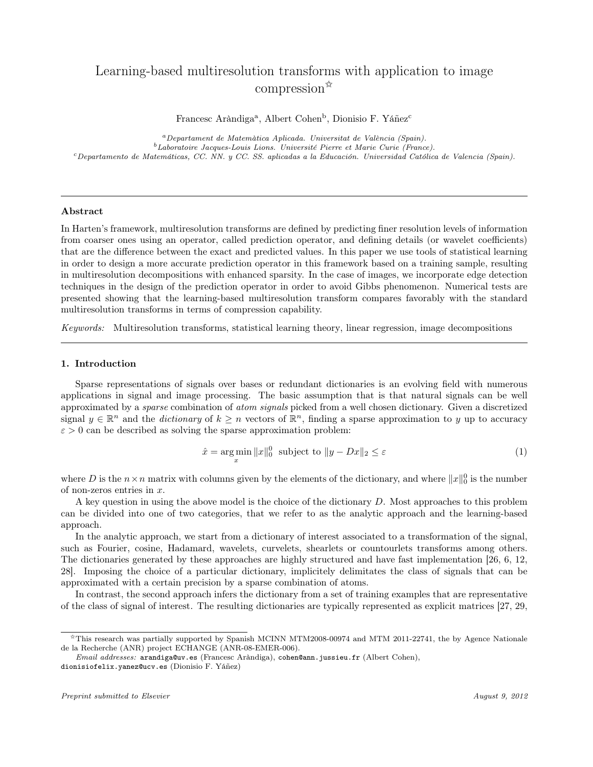# Learning-based multiresolution transforms with application to image compression✩

Francesc Aràndiga<sup>a</sup>, Albert Cohen<sup>b</sup>, Dionisio F. Yáñez<sup>c</sup>

<sup>a</sup>Departament de Matemàtica Aplicada. Universitat de València (Spain). <sup>b</sup>Laboratoire Jacques-Louis Lions. Université Pierre et Marie Curie (France). <sup>c</sup>Departamento de Matemáticas, CC. NN. y CC. SS. aplicadas a la Educación. Universidad Católica de Valencia (Spain).

## Abstract

In Harten's framework, multiresolution transforms are defined by predicting finer resolution levels of information from coarser ones using an operator, called prediction operator, and defining details (or wavelet coefficients) that are the difference between the exact and predicted values. In this paper we use tools of statistical learning in order to design a more accurate prediction operator in this framework based on a training sample, resulting in multiresolution decompositions with enhanced sparsity. In the case of images, we incorporate edge detection techniques in the design of the prediction operator in order to avoid Gibbs phenomenon. Numerical tests are presented showing that the learning-based multiresolution transform compares favorably with the standard multiresolution transforms in terms of compression capability.

Keywords: Multiresolution transforms, statistical learning theory, linear regression, image decompositions

#### 1. Introduction

Sparse representations of signals over bases or redundant dictionaries is an evolving field with numerous applications in signal and image processing. The basic assumption that is that natural signals can be well approximated by a *sparse* combination of *atom signals* picked from a well chosen dictionary. Given a discretized signal  $y \in \mathbb{R}^n$  and the *dictionary* of  $k \geq n$  vectors of  $\mathbb{R}^n$ , finding a sparse approximation to y up to accuracy  $\varepsilon > 0$  can be described as solving the sparse approximation problem:

$$
\hat{x} = \underset{x}{\arg\min} \|x\|_0^0 \text{ subject to } \|y - Dx\|_2 \le \varepsilon \tag{1}
$$

where D is the  $n \times n$  matrix with columns given by the elements of the dictionary, and where  $||x||_0^0$  is the number of non-zeros entries in  $x$ .

A key question in using the above model is the choice of the dictionary D. Most approaches to this problem can be divided into one of two categories, that we refer to as the analytic approach and the learning-based approach.

In the analytic approach, we start from a dictionary of interest associated to a transformation of the signal, such as Fourier, cosine, Hadamard, wavelets, curvelets, shearlets or countourlets transforms among others. The dictionaries generated by these approaches are highly structured and have fast implementation [26, 6, 12, 28]. Imposing the choice of a particular dictionary, implicitely delimitates the class of signals that can be approximated with a certain precision by a sparse combination of atoms.

In contrast, the second approach infers the dictionary from a set of training examples that are representative of the class of signal of interest. The resulting dictionaries are typically represented as explicit matrices [27, 29,

<sup>✩</sup>This research was partially supported by Spanish MCINN MTM2008-00974 and MTM 2011-22741, the by Agence Nationale de la Recherche (ANR) project ECHANGE (ANR-08-EMER-006).

Email addresses: arandiga@uv.es (Francesc Aràndiga), cohen@ann.jussieu.fr (Albert Cohen), dionisiofelix.yanez@ucv.es (Dionisio F. Yáñez)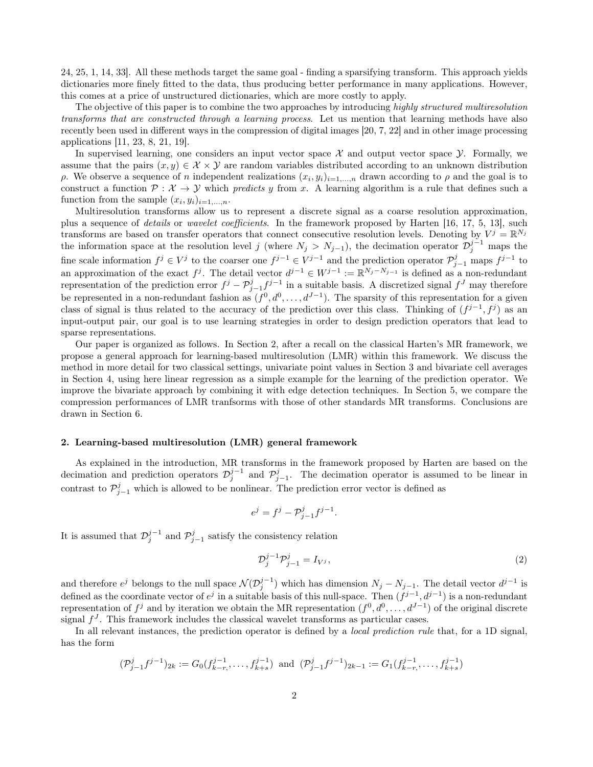24, 25, 1, 14, 33]. All these methods target the same goal - finding a sparsifying transform. This approach yields dictionaries more finely fitted to the data, thus producing better performance in many applications. However, this comes at a price of unstructured dictionaries, which are more costly to apply.

The objective of this paper is to combine the two approaches by introducing highly structured multiresolution transforms that are constructed through a learning process. Let us mention that learning methods have also recently been used in different ways in the compression of digital images [20, 7, 22] and in other image processing applications [11, 23, 8, 21, 19].

In supervised learning, one considers an input vector space  $\mathcal X$  and output vector space  $\mathcal Y$ . Formally, we assume that the pairs  $(x, y) \in \mathcal{X} \times \mathcal{Y}$  are random variables distributed according to an unknown distribution  $\rho$ . We observe a sequence of n independent realizations  $(x_i, y_i)_{i=1,\dots,n}$  drawn according to  $\rho$  and the goal is to construct a function  $P: \mathcal{X} \to \mathcal{Y}$  which predicts y from x. A learning algorithm is a rule that defines such a function from the sample  $(x_i, y_i)_{i=1,\dots,n}$ .

Multiresolution transforms allow us to represent a discrete signal as a coarse resolution approximation, plus a sequence of details or wavelet coefficients. In the framework proposed by Harten [16, 17, 5, 13], such transforms are based on transfer operators that connect consecutive resolution levels. Denoting by  $V^j = \mathbb{R}^{N_j}$ the information space at the resolution level j (where  $N_j > N_{j-1}$ ), the decimation operator  $\mathcal{D}_j^{j-1}$  maps the fine scale information  $f^j \in V^j$  to the coarser one  $f^{j-1} \in V^{j-1}$  and the prediction operator  $\mathcal{P}_{j-1}^j$  maps  $f^{j-1}$  to an approximation of the exact  $f^j$ . The detail vector  $d^{j-1} \in W^{j-1} := \mathbb{R}^{N_j - N_{j-1}}$  is defined as a non-redundant representation of the prediction error  $f^j - P^j_{j-1} f^{j-1}$  in a suitable basis. A discretized signal  $f^J$  may therefore be represented in a non-redundant fashion as  $(f^0, d^0, \ldots, d^{J-1})$ . The sparsity of this representation for a given class of signal is thus related to the accuracy of the prediction over this class. Thinking of  $(f^{j-1}, f^j)$  as an input-output pair, our goal is to use learning strategies in order to design prediction operators that lead to sparse representations.

Our paper is organized as follows. In Section 2, after a recall on the classical Harten's MR framework, we propose a general approach for learning-based multiresolution (LMR) within this framework. We discuss the method in more detail for two classical settings, univariate point values in Section 3 and bivariate cell averages in Section 4, using here linear regression as a simple example for the learning of the prediction operator. We improve the bivariate approach by combining it with edge detection techniques. In Section 5, we compare the compression performances of LMR tranfsorms with those of other standards MR transforms. Conclusions are drawn in Section 6.

### 2. Learning-based multiresolution (LMR) general framework

As explained in the introduction, MR transforms in the framework proposed by Harten are based on the decimation and prediction operators  $\mathcal{D}_j^{j-1}$  and  $\mathcal{P}_{j-1}^j$ . The decimation operator is assumed to be linear in contrast to  $\mathcal{P}_{j-1}^j$  which is allowed to be nonlinear. The prediction error vector is defined as

$$
e^j = f^j - \mathcal{P}_{j-1}^j f^{j-1}.
$$

It is assumed that  $\mathcal{D}_j^{j-1}$  and  $\mathcal{P}_{j-1}^j$  satisfy the consistency relation

$$
\mathcal{D}_j^{j-1} \mathcal{P}_{j-1}^j = I_{V^j},\tag{2}
$$

and therefore  $e^j$  belongs to the null space  $\mathcal{N}(\mathcal{D}_j^{j-1})$  which has dimension  $N_j - N_{j-1}$ . The detail vector  $d^{j-1}$  is defined as the coordinate vector of  $e^j$  in a suitable basis of this null-space. Then  $(f^{j-1}, d^{j-1})$  is a non-redundant representation of  $f^j$  and by iteration we obtain the MR representation  $(f^0, d^0, \ldots, d^{J-1})$  of the original discrete signal  $f^J$ . This framework includes the classical wavelet transforms as particular cases.

In all relevant instances, the prediction operator is defined by a *local prediction rule* that, for a 1D signal, has the form

$$
(\mathcal{P}_{j-1}^j f^{j-1})_{2k} := G_0(f_{k-r}^{j-1}, \dots, f_{k+s}^{j-1}) \text{ and } (\mathcal{P}_{j-1}^j f^{j-1})_{2k-1} := G_1(f_{k-r}^{j-1}, \dots, f_{k+s}^{j-1})
$$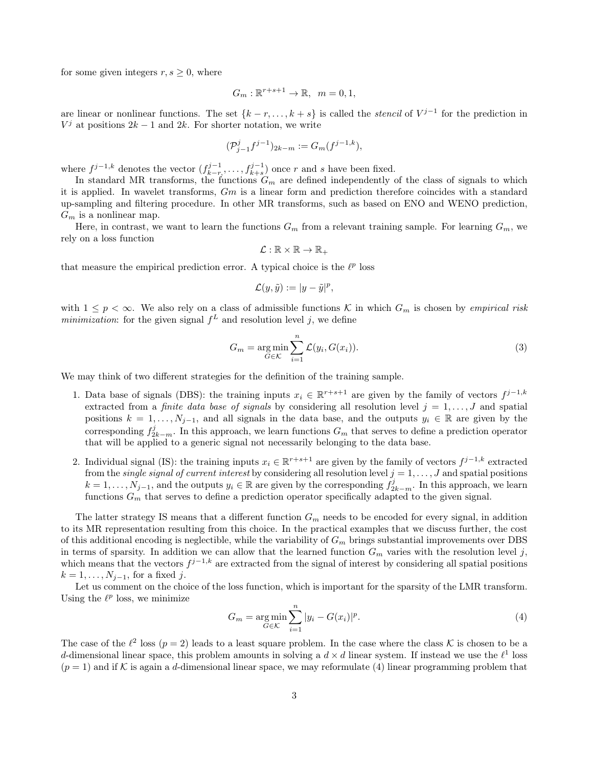for some given integers  $r, s \geq 0$ , where

$$
G_m: \mathbb{R}^{r+s+1} \to \mathbb{R}, \quad m = 0, 1,
$$

are linear or nonlinear functions. The set  $\{k-r,\ldots,k+s\}$  is called the *stencil* of  $V^{j-1}$  for the prediction in  $V^j$  at positions  $2k-1$  and  $2k$ . For shorter notation, we write

$$
(\mathcal{P}_{j-1}^{j}f^{j-1})_{2k-m} := G_m(f^{j-1,k}),
$$

where  $f^{j-1,k}$  denotes the vector  $(f_{k-r}^{j-1}, \ldots, f_{k+s}^{j-1})$  once r and s have been fixed.

In standard MR transforms, the functions  $G_m$  are defined independently of the class of signals to which it is applied. In wavelet transforms, Gm is a linear form and prediction therefore coincides with a standard up-sampling and filtering procedure. In other MR transforms, such as based on ENO and WENO prediction,  $G_m$  is a nonlinear map.

Here, in contrast, we want to learn the functions  $G_m$  from a relevant training sample. For learning  $G_m$ , we rely on a loss function

$$
\mathcal{L}:\mathbb{R}\times\mathbb{R}\to\mathbb{R}_+
$$

that measure the empirical prediction error. A typical choice is the  $\ell^p$  loss

$$
\mathcal{L}(y,\tilde{y}) := |y - \tilde{y}|^p,
$$

with  $1 \leq p < \infty$ . We also rely on a class of admissible functions K in which  $G_m$  is chosen by *empirical risk* minimization: for the given signal  $f^L$  and resolution level j, we define

$$
G_m = \underset{G \in \mathcal{K}}{\arg \min} \sum_{i=1}^n \mathcal{L}(y_i, G(x_i)).
$$
\n(3)

We may think of two different strategies for the definition of the training sample.

- 1. Data base of signals (DBS): the training inputs  $x_i \in \mathbb{R}^{r+s+1}$  are given by the family of vectors  $f^{j-1,k}$ extracted from a *finite data base of signals* by considering all resolution level  $j = 1, \ldots, J$  and spatial positions  $k = 1, \ldots, N_{j-1}$ , and all signals in the data base, and the outputs  $y_i \in \mathbb{R}$  are given by the corresponding  $f_{2k-m}^j$ . In this approach, we learn functions  $G_m$  that serves to define a prediction operator that will be applied to a generic signal not necessarily belonging to the data base.
- 2. Individual signal (IS): the training inputs  $x_i \in \mathbb{R}^{r+s+1}$  are given by the family of vectors  $f^{j-1,k}$  extracted from the *single signal of current interest* by considering all resolution level  $j = 1, ..., J$  and spatial positions  $k = 1, \ldots, N_{j-1}$ , and the outputs  $y_i \in \mathbb{R}$  are given by the corresponding  $f_{2k-m}^j$ . In this approach, we learn functions  $G_m$  that serves to define a prediction operator specifically adapted to the given signal.

The latter strategy IS means that a different function  $G_m$  needs to be encoded for every signal, in addition to its MR representation resulting from this choice. In the practical examples that we discuss further, the cost of this additional encoding is neglectible, while the variability of  $G<sub>m</sub>$  brings substantial improvements over DBS in terms of sparsity. In addition we can allow that the learned function  $G_m$  varies with the resolution level j, which means that the vectors  $f^{j-1,k}$  are extracted from the signal of interest by considering all spatial positions  $k = 1, \ldots, N_{j-1}$ , for a fixed j.

Let us comment on the choice of the loss function, which is important for the sparsity of the LMR transform. Using the  $\ell^p$  loss, we minimize

$$
G_m = \underset{G \in \mathcal{K}}{\arg \min} \sum_{i=1}^{n} |y_i - G(x_i)|^p. \tag{4}
$$

The case of the  $\ell^2$  loss  $(p = 2)$  leads to a least square problem. In the case where the class K is chosen to be a d-dimensional linear space, this problem amounts in solving a  $d \times d$  linear system. If instead we use the  $\ell^1$  loss  $(p = 1)$  and if K is again a d-dimensional linear space, we may reformulate (4) linear programming problem that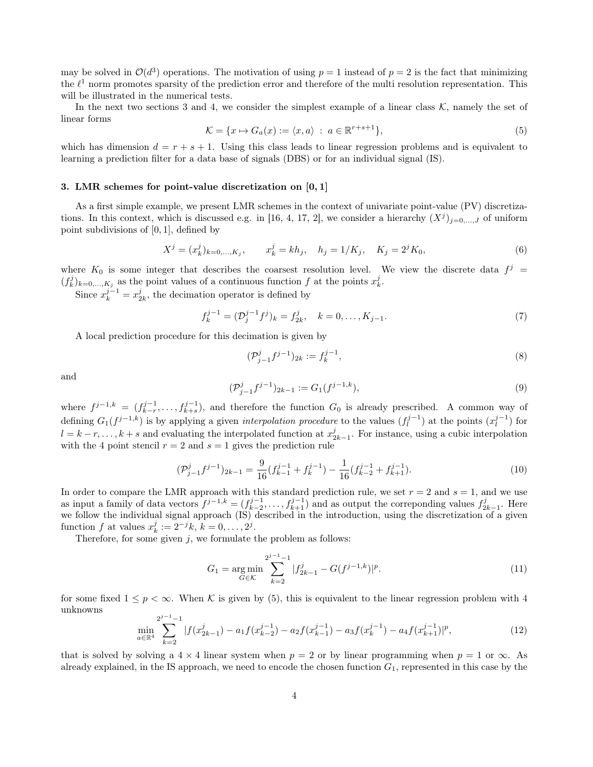may be solved in  $\mathcal{O}(d^3)$  operations. The motivation of using  $p = 1$  instead of  $p = 2$  is the fact that minimizing the  $\ell^1$  norm promotes sparsity of the prediction error and therefore of the multi resolution representation. This will be illustrated in the numerical tests.

In the next two sections 3 and 4, we consider the simplest example of a linear class  $\mathcal{K}$ , namely the set of linear forms

$$
\mathcal{K} = \{x \mapsto G_a(x) := \langle x, a \rangle \; : \; a \in \mathbb{R}^{r+s+1} \},\tag{5}
$$

which has dimension  $d = r + s + 1$ . Using this class leads to linear regression problems and is equivalent to learning a prediction filter for a data base of signals (DBS) or for an individual signal (IS).

### 3. LMR schemes for point-value discretization on [0, 1]

As a first simple example, we present LMR schemes in the context of univariate point-value (PV) discretizations. In this context, which is discussed e.g. in [16, 4, 17, 2], we consider a hierarchy  $(X^{j})_{j=0,\dots,J}$  of uniform point subdivisions of  $[0, 1]$ , defined by

$$
X^{j} = (x_{k}^{j})_{k=0,...,K_{j}}, \t x_{k}^{j} = kh_{j}, \t h_{j} = 1/K_{j}, \t K_{j} = 2^{j}K_{0}, \t (6)
$$

where  $K_0$  is some integer that describes the coarsest resolution level. We view the discrete data  $f^j$  $(f_k^j)_{k=0,\ldots,K_j}$  as the point values of a continuous function f at the points  $x_k^j$ .

Since  $x_k^{j-1} = x_{2k}^j$ , the decimation operator is defined by

$$
f_k^{j-1} = (\mathcal{D}_j^{j-1} f^j)_k = f_{2k}^j, \quad k = 0, \dots, K_{j-1}.
$$
 (7)

A local prediction procedure for this decimation is given by

$$
(\mathcal{P}_{j-1}^{j}f^{j-1})_{2k} := f_k^{j-1},\tag{8}
$$

and

$$
(\mathcal{P}_{j-1}^{j}f^{j-1})_{2k-1} := G_1(f^{j-1,k}),
$$
\n(9)

where  $f^{j-1,k} = (f^{j-1}_{k-r}, \ldots, f^{j-1}_{k+s})$ , and therefore the function  $G_0$  is already prescribed. A common way of defining  $G_1(f^{j-1,k})$  is by applying a given *interpolation procedure* to the values  $(f_l^{j-1})$  at the points  $(x_l^{j-1})$  for  $l = k - r, \ldots, k + s$  and evaluating the interpolated function at  $x_{2k-1}^j$ . For instance, using a cubic interpolation with the 4 point stencil  $r = 2$  and  $s = 1$  gives the prediction rule

$$
(\mathcal{P}_{j-1}^{j}f^{j-1})_{2k-1} = \frac{9}{16}(f_{k-1}^{j-1} + f_k^{j-1}) - \frac{1}{16}(f_{k-2}^{j-1} + f_{k+1}^{j-1}).
$$
\n(10)

In order to compare the LMR approach with this standard prediction rule, we set  $r = 2$  and  $s = 1$ , and we use as input a family of data vectors  $f^{j-1,k} = (f_{k-2}^{j-1}, \ldots, f_{k+1}^{j-1})$  and as output the correponding values  $f_{2k-1}^j$ . Here we follow the individual signal approach (IS) described in the introduction, using the discretization of a given function f at values  $x_k^j := 2^{-j}k, k = 0, ..., 2^j$ .

Therefore, for some given  $j$ , we formulate the problem as follows:

$$
G_1 = \underset{G \in \mathcal{K}}{\arg \min} \sum_{k=2}^{2^{j-1}-1} |f_{2k-1}^j - G(f^{j-1,k})|^p. \tag{11}
$$

for some fixed  $1 \leq p < \infty$ . When K is given by (5), this is equivalent to the linear regression problem with 4 unknowns  $j = 1$ 

$$
\min_{a \in \mathbb{R}^4} \sum_{k=2}^{2^{j-1}-1} |f(x_{2k-1}^j) - a_1 f(x_{k-2}^{j-1}) - a_2 f(x_{k-1}^{j-1}) - a_3 f(x_k^{j-1}) - a_4 f(x_{k+1}^{j-1})|^p, \tag{12}
$$

that is solved by solving a  $4 \times 4$  linear system when  $p = 2$  or by linear programming when  $p = 1$  or  $\infty$ . As already explained, in the IS approach, we need to encode the chosen function  $G_1$ , represented in this case by the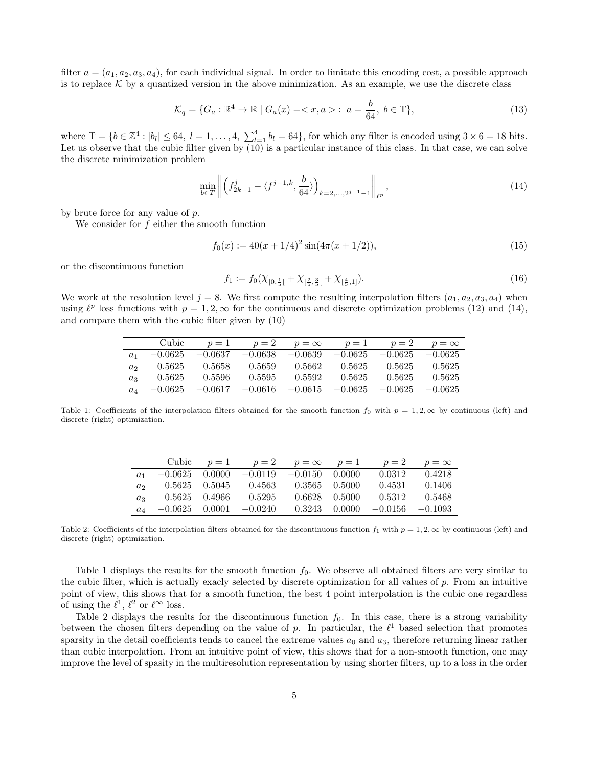filter  $a = (a_1, a_2, a_3, a_4)$ , for each individual signal. In order to limitate this encoding cost, a possible approach is to replace  $\mathcal K$  by a quantized version in the above minimization. As an example, we use the discrete class

$$
\mathcal{K}_q = \{ G_a : \mathbb{R}^4 \to \mathbb{R} \mid G_a(x) = \langle x, a \rangle : a = \frac{b}{64}, \ b \in \mathcal{T} \},\tag{13}
$$

where  $T = \{b \in \mathbb{Z}^4 : |b_l| \leq 64, l = 1, \ldots, 4, \sum_{l=1}^4 b_l = 64\}$ , for which any filter is encoded using  $3 \times 6 = 18$  bits. Let us observe that the cubic filter given by  $(10)$  is a particular instance of this class. In that case, we can solve the discrete minimization problem

$$
\min_{b \in T} \left\| \left( f_{2k-1}^j - \langle f^{j-1,k}, \frac{b}{64} \rangle \right)_{k=2,\dots,2^{j-1}-1} \right\|_{\ell^p},\tag{14}
$$

by brute force for any value of  $p$ .

We consider for  $f$  either the smooth function

$$
f_0(x) := 40(x + 1/4)^2 \sin(4\pi(x + 1/2)),\tag{15}
$$

or the discontinuous function

$$
f_1 := f_0(\chi_{[0, \frac{1}{5}[} + \chi_{[\frac{2}{5}, \frac{3}{5}[} + \chi_{[\frac{4}{5}, 1]}). \tag{16})
$$

We work at the resolution level  $j = 8$ . We first compute the resulting interpolation filters  $(a_1, a_2, a_3, a_4)$  when using  $\ell^p$  loss functions with  $p = 1, 2, \infty$  for the continuous and discrete optimization problems (12) and (14), and compare them with the cubic filter given by (10)

|                | Cubic     | $p=1$     | $p=2$     | $p = \infty$ | $p=1$     | $p=2$     | $p = \infty$ |
|----------------|-----------|-----------|-----------|--------------|-----------|-----------|--------------|
| a <sub>1</sub> | $-0.0625$ | $-0.0637$ | $-0.0638$ | $-0.0639$    | $-0.0625$ | $-0.0625$ | $-0.0625$    |
| a <sub>2</sub> | 0.5625    | 0.5658    | 0.5659    | 0.5662       | 0.5625    | 0.5625    | 0.5625       |
| $a_3$          | 0.5625    | 0.5596    | 0.5595    | 0.5592       | 0.5625    | 0.5625    | 0.5625       |
| $a_4$          | $-0.0625$ | $-0.0617$ | $-0.0616$ | $-0.0615$    | $-0.0625$ | $-0.0625$ | $-0.0625$    |

Table 1: Coefficients of the interpolation filters obtained for the smooth function  $f_0$  with  $p = 1, 2, \infty$  by continuous (left) and discrete (right) optimization.

|                             |                  |               | Cubic $p=1$ $p=2$ $p=\infty$ $p=1$ $p=2$ |                   |               |           | $p = \infty$ |
|-----------------------------|------------------|---------------|------------------------------------------|-------------------|---------------|-----------|--------------|
|                             | $-0.0625$ 0.0000 |               | $-0.0119$ $-0.0150$ 0.0000               |                   |               | 0.0312    | 0.4218       |
| a <sub>2</sub>              |                  | 0.5625 0.5045 | 0.4563                                   | 0.3565 0.5000     |               | 0.4531    | 0.1406       |
| $a_3$                       |                  | 0.5625 0.4966 | 0.5295                                   | $0.6628$ $0.5000$ |               | 0.5312    | 0.5468       |
| $a_{\scriptscriptstyle{A}}$ | $-0.0625$ 0.0001 |               | $-0.0240$                                |                   | 0.3243 0.0000 | $-0.0156$ | $-0.1093$    |

Table 2: Coefficients of the interpolation filters obtained for the discontinuous function  $f_1$  with  $p = 1, 2, \infty$  by continuous (left) and discrete (right) optimization.

Table 1 displays the results for the smooth function  $f_0$ . We observe all obtained filters are very similar to the cubic filter, which is actually exacly selected by discrete optimization for all values of p. From an intuitive point of view, this shows that for a smooth function, the best 4 point interpolation is the cubic one regardless of using the  $\ell^1$ ,  $\ell^2$  or  $\ell^{\infty}$  loss.

Table 2 displays the results for the discontinuous function  $f_0$ . In this case, there is a strong variability between the chosen filters depending on the value of p. In particular, the  $\ell^1$  based selection that promotes sparsity in the detail coefficients tends to cancel the extreme values  $a_0$  and  $a_3$ , therefore returning linear rather than cubic interpolation. From an intuitive point of view, this shows that for a non-smooth function, one may improve the level of spasity in the multiresolution representation by using shorter filters, up to a loss in the order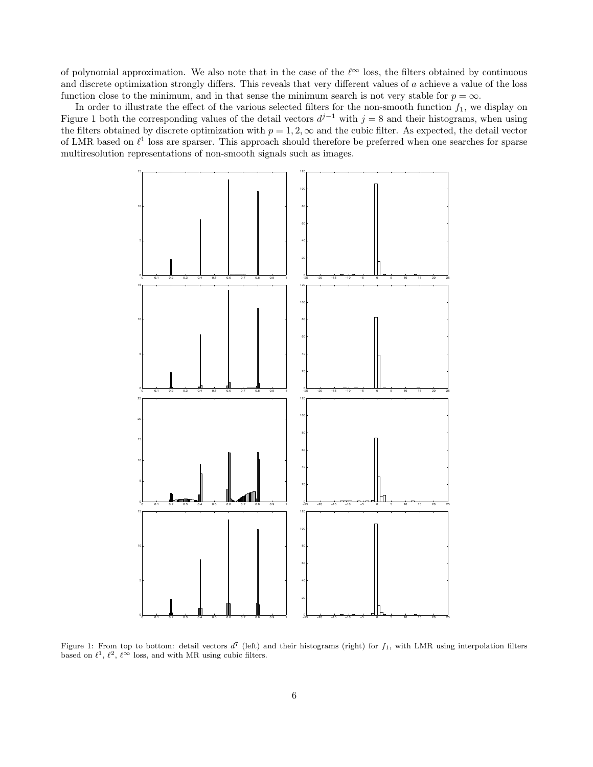of polynomial approximation. We also note that in the case of the  $\ell^{\infty}$  loss, the filters obtained by continuous and discrete optimization strongly differs. This reveals that very different values of a achieve a value of the loss function close to the minimum, and in that sense the minimum search is not very stable for  $p = \infty$ .

In order to illustrate the effect of the various selected filters for the non-smooth function  $f_1$ , we display on Figure 1 both the corresponding values of the detail vectors  $d^{j-1}$  with  $j=8$  and their histograms, when using the filters obtained by discrete optimization with  $p = 1, 2, \infty$  and the cubic filter. As expected, the detail vector of LMR based on  $\ell^1$  loss are sparser. This approach should therefore be preferred when one searches for sparse multiresolution representations of non-smooth signals such as images.



Figure 1: From top to bottom: detail vectors  $d^7$  (left) and their histograms (right) for  $f_1$ , with LMR using interpolation filters based on  $\ell^1$ ,  $\ell^2$ ,  $\ell^{\infty}$  loss, and with MR using cubic filters.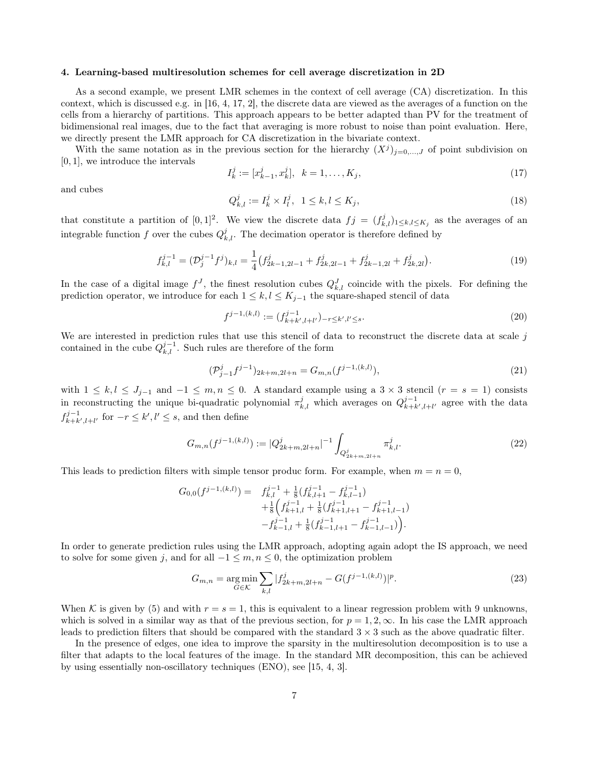#### 4. Learning-based multiresolution schemes for cell average discretization in 2D

As a second example, we present LMR schemes in the context of cell average (CA) discretization. In this context, which is discussed e.g. in [16, 4, 17, 2], the discrete data are viewed as the averages of a function on the cells from a hierarchy of partitions. This approach appears to be better adapted than PV for the treatment of bidimensional real images, due to the fact that averaging is more robust to noise than point evaluation. Here, we directly present the LMR approach for CA discretization in the bivariate context.

With the same notation as in the previous section for the hierarchy  $(X^{j})_{j=0,\dots,J}$  of point subdivision on [0, 1], we introduce the intervals

$$
I_k^j := [x_{k-1}^j, x_k^j], \ \ k = 1, \dots, K_j,\tag{17}
$$

and cubes

$$
Q_{k,l}^{j} := I_k^{j} \times I_l^{j}, \ \ 1 \le k, l \le K_j,
$$
\n(18)

that constitute a partition of [0,1]<sup>2</sup>. We view the discrete data  $f_j = (f_{k,l}^j)_{1 \leq k,l \leq K_j}$  as the averages of an integrable function f over the cubes  $Q_{k,l}^j$ . The decimation operator is therefore defined by

$$
f_{k,l}^{j-1} = (\mathcal{D}_j^{j-1} f^j)_{k,l} = \frac{1}{4} \left( f_{2k-1,2l-1}^j + f_{2k,2l-1}^j + f_{2k-1,2l}^j + f_{2k,2l}^j \right). \tag{19}
$$

In the case of a digital image  $f^J$ , the finest resolution cubes  $Q_{k,l}^J$  coincide with the pixels. For defining the prediction operator, we introduce for each  $1 \leq k, l \leq K_{j-1}$  the square-shaped stencil of data

$$
f^{j-1,(k,l)} := (f^{j-1}_{k+k',l+l'})_{-r \le k',l' \le s}.
$$
\n(20)

We are interested in prediction rules that use this stencil of data to reconstruct the discrete data at scale  $j$ contained in the cube  $Q_{k,l}^{j-1}$ . Such rules are therefore of the form

$$
(\mathcal{P}_{j-1}^{j}f^{j-1})_{2k+m,2l+n} = G_{m,n}(f^{j-1,(k,l)}),
$$
\n(21)

with  $1 \leq k, l \leq J_{j-1}$  and  $-1 \leq m, n \leq 0$ . A standard example using a  $3 \times 3$  stencil  $(r = s = 1)$  consists in reconstructing the unique bi-quadratic polynomial  $\pi_{k,l}^j$  which averages on  $Q_{k+k',l+l'}^{j-1}$  agree with the data  $f_{k+k',l+l'}^{j-1}$  for  $-r \leq k', l' \leq s$ , and then define

$$
G_{m,n}(f^{j-1,(k,l)}) := |Q_{2k+m,2l+n}^j|^{-1} \int_{Q_{2k+m,2l+n}^j} \pi_{k,l}^j.
$$
 (22)

This leads to prediction filters with simple tensor produc form. For example, when  $m = n = 0$ ,

$$
G_{0,0}(f^{j-1,(k,l)}) = f_{k,l}^{j-1} + \frac{1}{8}(f_{k,l+1}^{j-1} - f_{k,l-1}^{j-1})
$$
  
 
$$
+ \frac{1}{8}(f_{k+1,l}^{j-1} + \frac{1}{8}(f_{k+1,l+1}^{j-1} - f_{k+1,l-1}^{j-1})
$$
  
 
$$
-f_{k-1,l}^{j-1} + \frac{1}{8}(f_{k-1,l+1}^{j-1} - f_{k-1,l-1}^{j-1})
$$

In order to generate prediction rules using the LMR approach, adopting again adopt the IS approach, we need to solve for some given j, and for all  $-1 \leq m, n \leq 0$ , the optimization problem

$$
G_{m,n} = \underset{G \in \mathcal{K}}{\arg \min} \sum_{k,l} |f_{2k+m,2l+n}^{j} - G(f^{j-1,(k,l)})|^{p}.
$$
 (23)

When K is given by (5) and with  $r = s = 1$ , this is equivalent to a linear regression problem with 9 unknowns, which is solved in a similar way as that of the previous section, for  $p = 1, 2, \infty$ . In his case the LMR approach leads to prediction filters that should be compared with the standard  $3 \times 3$  such as the above quadratic filter.

In the presence of edges, one idea to improve the sparsity in the multiresolution decomposition is to use a filter that adapts to the local features of the image. In the standard MR decomposition, this can be achieved by using essentially non-oscillatory techniques (ENO), see [15, 4, 3].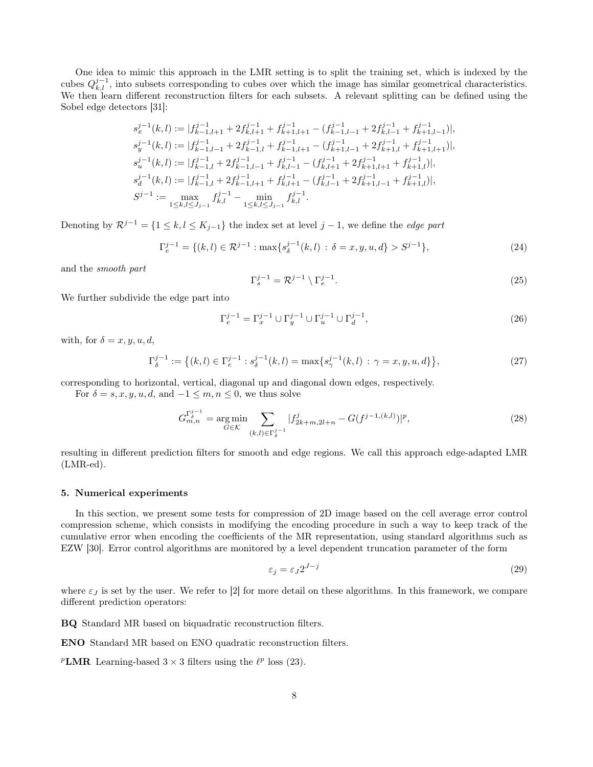One idea to mimic this approach in the LMR setting is to split the training set, which is indexed by the cubes  $Q_{k,l}^{j-1}$ , into subsets corresponding to cubes over which the image has similar geometrical characteristics. We then learn different reconstruction filters for each subsets. A relevant splitting can be defined using the Sobel edge detectors [31]:

$$
\begin{aligned} s^{j-1}_x(k,l) &:= |f^{j-1}_{k-1,l+1} + 2f^{j-1}_{k,l+1} + f^{j-1}_{k+1,l+1} - (f^{j-1}_{k-1,l-1} + 2f^{j-1}_{k,l-1} + f^{j-1}_{k+1,l-1})|, \\ s^{j-1}_y(k,l) &:= |f^{j-1}_{k-1,l-1} + 2f^{j-1}_{k-1,l} + f^{j-1}_{k-1,l+1} - (f^{j-1}_{k+1,l-1} + 2f^{j-1}_{k+1,l} + f^{j-1}_{k+1,l+1})|, \\ s^{j-1}_u(k,l) &:= |f^{j-1}_{k-1,l} + 2f^{j-1}_{k-1,l-1} + f^{j-1}_{k,l-1} - (f^{j-1}_{k,l+1} + 2f^{j-1}_{k+1,l+1} + f^{j-1}_{k+1,l})|, \\ s^{j-1}_d(k,l) &:= |f^{j-1}_{k-1,l} + 2f^{j-1}_{k-1,l+1} + f^{j-1}_{k,l+1} - (f^{j-1}_{k,l-1} + 2f^{j-1}_{k+1,l-1} + f^{j-1}_{k+1,l})|, \\ S^{j-1} &:= \max_{1 \leq k,l \leq J_{j-1}} f^{j-1}_{k,l} - \min_{1 \leq k,l \leq J_{j-1}} f^{j-1}_{k,l}. \end{aligned}
$$

Denoting by  $\mathcal{R}^{j-1} = \{1 \leq k, l \leq K_{j-1}\}\$ the index set at level  $j-1$ , we define the *edge part* 

$$
\Gamma_e^{j-1} = \{ (k,l) \in \mathcal{R}^{j-1} : \max \{ s_\delta^{j-1}(k,l) : \delta = x, y, u, d \} > S^{j-1} \},\tag{24}
$$

and the smooth part

$$
\Gamma_s^{j-1} = \mathcal{R}^{j-1} \setminus \Gamma_e^{j-1}.
$$
\n(25)

We further subdivide the edge part into

$$
\Gamma_e^{j-1} = \Gamma_x^{j-1} \cup \Gamma_y^{j-1} \cup \Gamma_u^{j-1} \cup \Gamma_d^{j-1},\tag{26}
$$

with, for  $\delta = x, y, u, d$ ,

$$
\Gamma_{\delta}^{j-1} := \left\{ (k,l) \in \Gamma_e^{j-1} : s_{\delta}^{j-1}(k,l) = \max\{ s_{\gamma}^{j-1}(k,l) : \gamma = x, y, u, d \} \right\},\tag{27}
$$

corresponding to horizontal, vertical, diagonal up and diagonal down edges, respectively.

For  $\delta = s, x, y, u, d$ , and  $-1 \leq m, n \leq 0$ , we thus solve

$$
G_{m,n}^{\Gamma_{\delta}^{j-1}} = \underset{G \in \mathcal{K}}{\text{arg min}} \sum_{(k,l) \in \Gamma_{\delta}^{j-1}} |f_{2k+m,2l+n}^{j} - G(f^{j-1,(k,l)})|^{p},\tag{28}
$$

resulting in different prediction filters for smooth and edge regions. We call this approach edge-adapted LMR (LMR-ed).

#### 5. Numerical experiments

In this section, we present some tests for compression of 2D image based on the cell average error control compression scheme, which consists in modifying the encoding procedure in such a way to keep track of the cumulative error when encoding the coefficients of the MR representation, using standard algorithms such as EZW [30]. Error control algorithms are monitored by a level dependent truncation parameter of the form

$$
\varepsilon_j = \varepsilon_J 2^{J-j} \tag{29}
$$

where  $\varepsilon_j$  is set by the user. We refer to [2] for more detail on these algorithms. In this framework, we compare different prediction operators:

BQ Standard MR based on biquadratic reconstruction filters.

ENO Standard MR based on ENO quadratic reconstruction filters.

<sup>*P*</sup>**LMR** Learning-based  $3 \times 3$  filters using the  $\ell^p$  loss (23).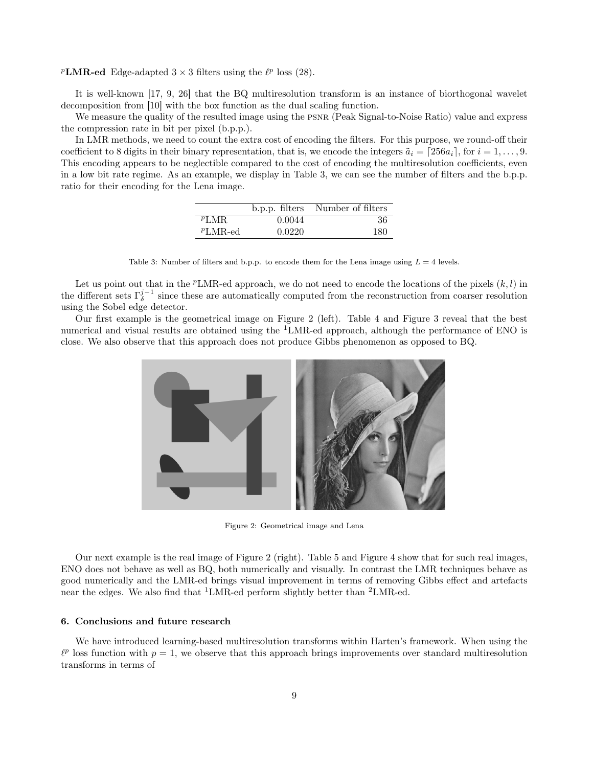<sup>p</sup>LMR-ed Edge-adapted  $3 \times 3$  filters using the  $\ell^p$  loss (28).

It is well-known [17, 9, 26] that the BQ multiresolution transform is an instance of biorthogonal wavelet decomposition from [10] with the box function as the dual scaling function.

We measure the quality of the resulted image using the PSNR (Peak Signal-to-Noise Ratio) value and express the compression rate in bit per pixel (b.p.p.).

In LMR methods, we need to count the extra cost of encoding the filters. For this purpose, we round-off their coefficient to 8 digits in their binary representation, that is, we encode the integers  $\tilde{a}_i = [256a_i]$ , for  $i = 1, \ldots, 9$ . This encoding appears to be neglectible compared to the cost of encoding the multiresolution coefficients, even in a low bit rate regime. As an example, we display in Table 3, we can see the number of filters and the b.p.p. ratio for their encoding for the Lena image.

|            |        | b.p.p. filters Number of filters |
|------------|--------|----------------------------------|
| PLMR       | 0.0044 | -36                              |
| $PLMR$ -ed | 0.0220 | 180                              |

Table 3: Number of filters and b.p.p. to encode them for the Lena image using  $L = 4$  levels.

Let us point out that in the <sup>p</sup>LMR-ed approach, we do not need to encode the locations of the pixels  $(k, l)$  in the different sets  $\Gamma_{\delta}^{j-1}$  since these are automatically computed from the reconstruction from coarser resolution using the Sobel edge detector.

Our first example is the geometrical image on Figure 2 (left). Table 4 and Figure 3 reveal that the best numerical and visual results are obtained using the <sup>1</sup>LMR-ed approach, although the performance of ENO is close. We also observe that this approach does not produce Gibbs phenomenon as opposed to BQ.



Figure 2: Geometrical image and Lena

Our next example is the real image of Figure 2 (right). Table 5 and Figure 4 show that for such real images, ENO does not behave as well as BQ, both numerically and visually. In contrast the LMR techniques behave as good numerically and the LMR-ed brings visual improvement in terms of removing Gibbs effect and artefacts near the edges. We also find that  ${}^{1}LMR$ -ed perform slightly better than  ${}^{2}LMR$ -ed.

### 6. Conclusions and future research

We have introduced learning-based multiresolution transforms within Harten's framework. When using the  $\ell^p$  loss function with  $p = 1$ , we observe that this approach brings improvements over standard multiresolution transforms in terms of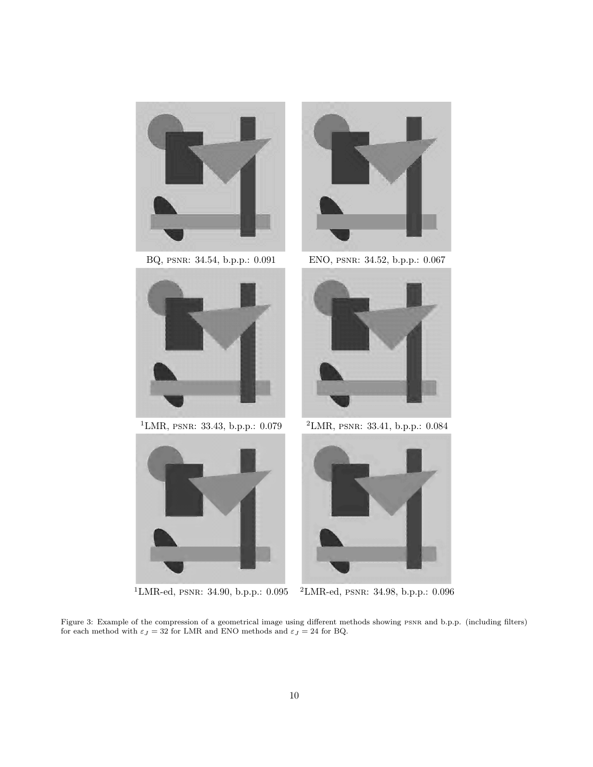







BQ, psnr: 34.54, b.p.p.: 0.091 ENO, psnr: 34.52, b.p.p.: 0.067



<sup>1</sup>LMR, PSNR: 33.43, b.p.p.: 0.079  $2$ LMR, PSNR: 33.41, b.p.p.: 0.084



<sup>1</sup>LMR-ed, psnr: 34.90, b.p.p.: 0.095 <sup>2</sup>LMR-ed, psnr: 34.98, b.p.p.: 0.096

Figure 3: Example of the compression of a geometrical image using different methods showing psnr and b.p.p. (including filters) for each method with  $\varepsilon_J=32$  for LMR and ENO methods and  $\varepsilon_J=24$  for BQ.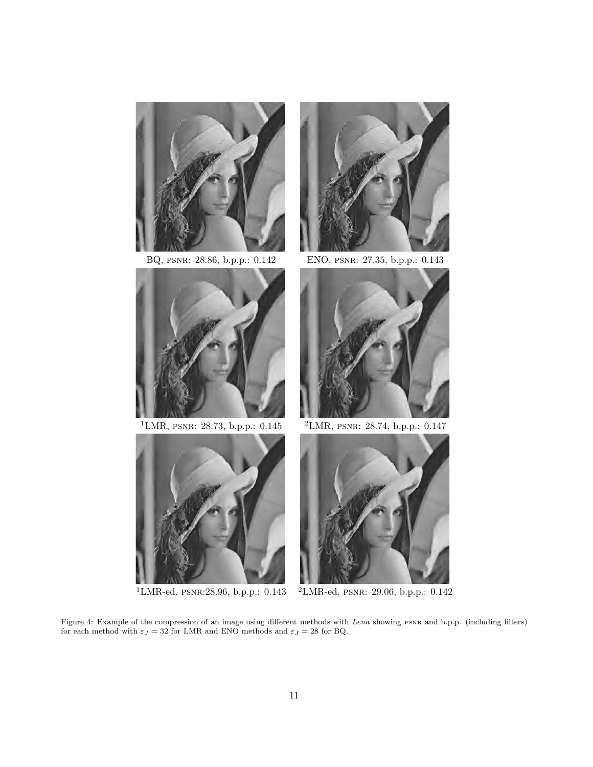



<sup>1</sup>LMR, psnr: 28.73, b.p.p.: 0.145 <sup>2</sup>LMR, psnr: 28.74, b.p.p.: 0.147





BQ, psnr: 28.86, b.p.p.: 0.142 ENO, psnr: 27.35, b.p.p.: 0.143





<sup>1</sup>LMR-ed, psnr:28.96, b.p.p.: 0.143 <sup>2</sup>LMR-ed, psnr: 29.06, b.p.p.: 0.142

Figure 4: Example of the compression of an image using different methods with Lena showing psnr and b.p.p. (including filters) for each method with  $\varepsilon_J=32$  for LMR and ENO methods and  $\varepsilon_J=28$  for BQ.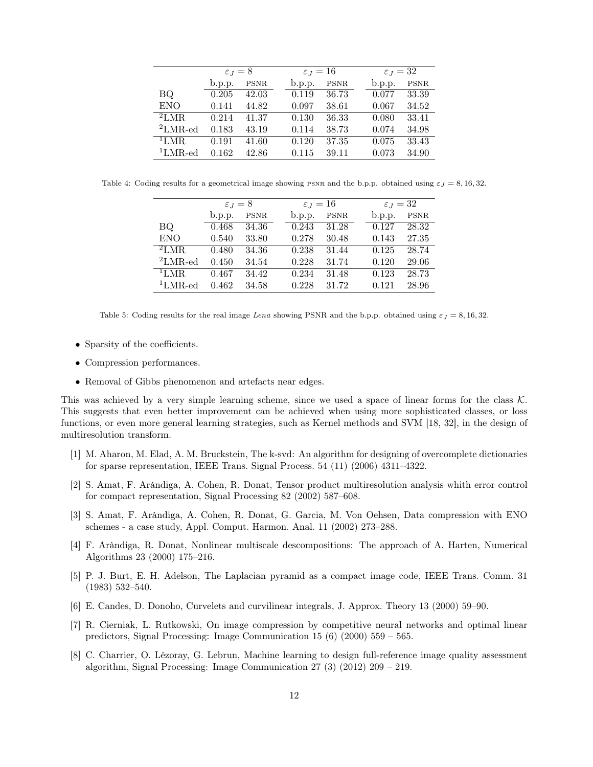|              | $\varepsilon_J=8$ |             | $\varepsilon_J=16$ |             |  | $\varepsilon_J=32$ |             |  |
|--------------|-------------------|-------------|--------------------|-------------|--|--------------------|-------------|--|
|              | b.p.p.            | <b>PSNR</b> | b.p.p.             | <b>PSNR</b> |  | b.p.p.             | <b>PSNR</b> |  |
| BQ.          | 0.205             | 42.03       | 0.119              | 36.73       |  | 0.077              | 33.39       |  |
| <b>ENO</b>   | 0.141             | 44.82       | 0.097              | 38.61       |  | 0.067              | 34.52       |  |
| ${}^{2}$ LMR | 0.214             | 41.37       | 0.130              | 36.33       |  | 0.080              | 33.41       |  |
| $2LMR$ -ed   | 0.183             | 43.19       | 0.114              | 38.73       |  | 0.074              | 34.98       |  |
| $11$ MR.     | 0.191             | 41.60       | 0.120              | 37.35       |  | 0.075              | 33.43       |  |
| $1$ LMR-ed   | 0.162             | 42.86       | 0.115              | 39.11       |  | 0.073              | 34.90       |  |

Table 4: Coding results for a geometrical image showing PSNR and the b.p.p. obtained using  $\varepsilon_J = 8, 16, 32$ .

|            | $\varepsilon_{J} = 8$ |             | $\varepsilon_J=16$ |             |  | $\varepsilon_J=32$ |             |  |
|------------|-----------------------|-------------|--------------------|-------------|--|--------------------|-------------|--|
|            | b.p.p.                | <b>PSNR</b> | b.p.p.             | <b>PSNR</b> |  | b.p.p.             | <b>PSNR</b> |  |
| BQ.        | 0.468                 | 34.36       | 0.243              | 31.28       |  | 0.127              | 28.32       |  |
| <b>ENO</b> | 0.540                 | 33.80       | 0.278              | 30.48       |  | 0.143              | 27.35       |  |
| 2LMR       | 0.480                 | 34.36       | 0.238              | 31.44       |  | 0.125              | 28.74       |  |
| $2LMR$ -ed | 0.450                 | 34.54       | 0.228              | 31.74       |  | 0.120              | 29.06       |  |
| $1$ LMR.   | 0.467                 | 34.42       | 0.234              | 31.48       |  | 0.123              | 28.73       |  |
| $1$ LMR-ed | 0.462                 | 34.58       | 0.228              | 31.72       |  | 0.121              | 28.96       |  |

Table 5: Coding results for the real image Lena showing PSNR and the b.p.p. obtained using  $\varepsilon_J = 8, 16, 32$ .

- Sparsity of the coefficients.
- Compression performances.
- Removal of Gibbs phenomenon and artefacts near edges.

This was achieved by a very simple learning scheme, since we used a space of linear forms for the class  $K$ . This suggests that even better improvement can be achieved when using more sophisticated classes, or loss functions, or even more general learning strategies, such as Kernel methods and SVM [18, 32], in the design of multiresolution transform.

- [1] M. Aharon, M. Elad, A. M. Bruckstein, The k-svd: An algorithm for designing of overcomplete dictionaries for sparse representation, IEEE Trans. Signal Process. 54 (11) (2006) 4311–4322.
- [2] S. Amat, F. Aràndiga, A. Cohen, R. Donat, Tensor product multiresolution analysis whith error control for compact representation, Signal Processing 82 (2002) 587–608.
- [3] S. Amat, F. Aràndiga, A. Cohen, R. Donat, G. Garcia, M. Von Oehsen, Data compression with ENO schemes - a case study, Appl. Comput. Harmon. Anal. 11 (2002) 273–288.
- [4] F. Aràndiga, R. Donat, Nonlinear multiscale descompositions: The approach of A. Harten, Numerical Algorithms 23 (2000) 175–216.
- [5] P. J. Burt, E. H. Adelson, The Laplacian pyramid as a compact image code, IEEE Trans. Comm. 31 (1983) 532–540.
- [6] E. Candes, D. Donoho, Curvelets and curvilinear integrals, J. Approx. Theory 13 (2000) 59–90.
- [7] R. Cierniak, L. Rutkowski, On image compression by competitive neural networks and optimal linear predictors, Signal Processing: Image Communication 15 (6) (2000) 559 – 565.
- [8] C. Charrier, O. Lézoray, G. Lebrun, Machine learning to design full-reference image quality assessment algorithm, Signal Processing: Image Communication 27 (3) (2012) 209 – 219.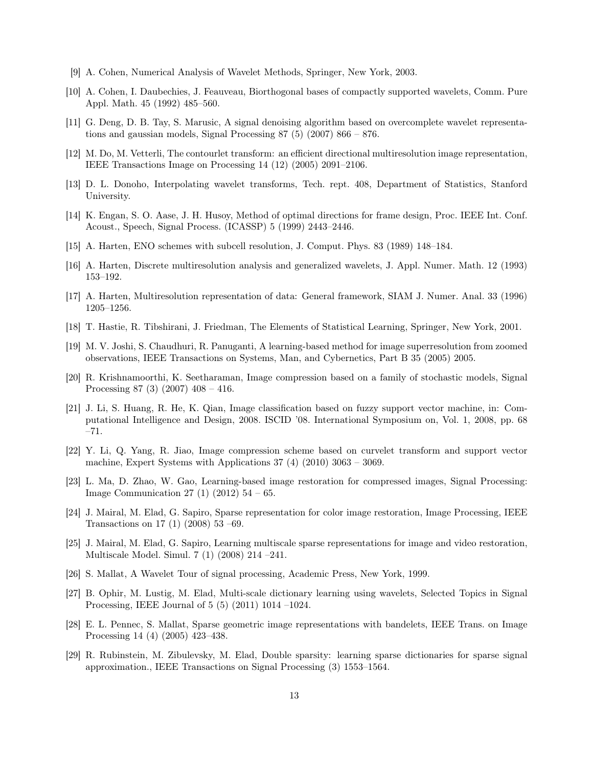- [9] A. Cohen, Numerical Analysis of Wavelet Methods, Springer, New York, 2003.
- [10] A. Cohen, I. Daubechies, J. Feauveau, Biorthogonal bases of compactly supported wavelets, Comm. Pure Appl. Math. 45 (1992) 485–560.
- [11] G. Deng, D. B. Tay, S. Marusic, A signal denoising algorithm based on overcomplete wavelet representations and gaussian models, Signal Processing  $87(5)(2007) 866 - 876$ .
- [12] M. Do, M. Vetterli, The contourlet transform: an efficient directional multiresolution image representation, IEEE Transactions Image on Processing 14 (12) (2005) 2091–2106.
- [13] D. L. Donoho, Interpolating wavelet transforms, Tech. rept. 408, Department of Statistics, Stanford University.
- [14] K. Engan, S. O. Aase, J. H. Husoy, Method of optimal directions for frame design, Proc. IEEE Int. Conf. Acoust., Speech, Signal Process. (ICASSP) 5 (1999) 2443–2446.
- [15] A. Harten, ENO schemes with subcell resolution, J. Comput. Phys. 83 (1989) 148–184.
- [16] A. Harten, Discrete multiresolution analysis and generalized wavelets, J. Appl. Numer. Math. 12 (1993) 153–192.
- [17] A. Harten, Multiresolution representation of data: General framework, SIAM J. Numer. Anal. 33 (1996) 1205–1256.
- [18] T. Hastie, R. Tibshirani, J. Friedman, The Elements of Statistical Learning, Springer, New York, 2001.
- [19] M. V. Joshi, S. Chaudhuri, R. Panuganti, A learning-based method for image superresolution from zoomed observations, IEEE Transactions on Systems, Man, and Cybernetics, Part B 35 (2005) 2005.
- [20] R. Krishnamoorthi, K. Seetharaman, Image compression based on a family of stochastic models, Signal Processing 87 (3) (2007) 408 – 416.
- [21] J. Li, S. Huang, R. He, K. Qian, Image classification based on fuzzy support vector machine, in: Computational Intelligence and Design, 2008. ISCID '08. International Symposium on, Vol. 1, 2008, pp. 68 –71.
- [22] Y. Li, Q. Yang, R. Jiao, Image compression scheme based on curvelet transform and support vector machine, Expert Systems with Applications 37 (4) (2010) 3063 – 3069.
- [23] L. Ma, D. Zhao, W. Gao, Learning-based image restoration for compressed images, Signal Processing: Image Communication 27 (1) (2012)  $54 - 65$ .
- [24] J. Mairal, M. Elad, G. Sapiro, Sparse representation for color image restoration, Image Processing, IEEE Transactions on 17 (1) (2008) 53 –69.
- [25] J. Mairal, M. Elad, G. Sapiro, Learning multiscale sparse representations for image and video restoration, Multiscale Model. Simul. 7 (1) (2008) 214 –241.
- [26] S. Mallat, A Wavelet Tour of signal processing, Academic Press, New York, 1999.
- [27] B. Ophir, M. Lustig, M. Elad, Multi-scale dictionary learning using wavelets, Selected Topics in Signal Processing, IEEE Journal of 5 (5) (2011) 1014 –1024.
- [28] E. L. Pennec, S. Mallat, Sparse geometric image representations with bandelets, IEEE Trans. on Image Processing 14 (4) (2005) 423–438.
- [29] R. Rubinstein, M. Zibulevsky, M. Elad, Double sparsity: learning sparse dictionaries for sparse signal approximation., IEEE Transactions on Signal Processing (3) 1553–1564.